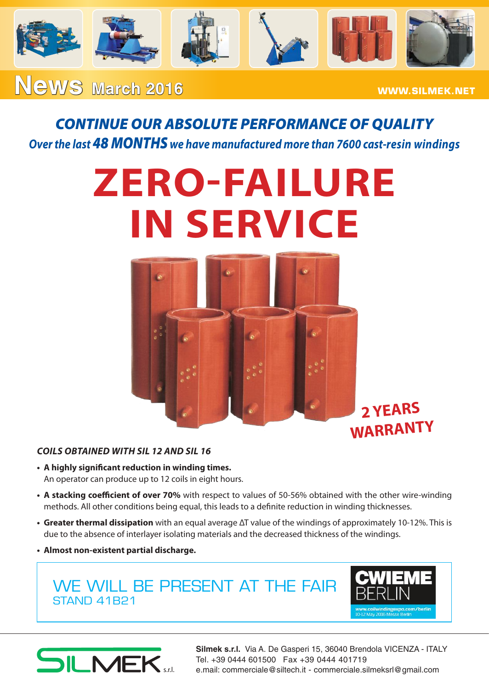

### **ReWS** March 2016 **WWW.SILMEK.NET**

### *CONTINUE OUR ABSOLUTE PERFORMANCE OF QUALITY Over the last 48 MONTHS we have manufactured more than 7600 cast-resin windings*

# **ZERO-FAILURE IN SERVICE**



#### *COILS OBTAINED WITH SIL 12 AND SIL 16*

- **• A highly significant reduction in winding times.** An operator can produce up to 12 coils in eight hours.
- **• A stacking coefficient of over 70%** with respect to values of 50-56% obtained with the other wire-winding methods. All other conditions being equal, this leads to a definite reduction in winding thicknesses.
- **• Greater thermal dissipation** with an equal average ΔT value of the windings of approximately 10-12%. This is due to the absence of interlayer isolating materials and the decreased thickness of the windings.
- **• Almost non-existent partial discharge.**

### WE WILL BE PRESENT AT THE FAIR STAND 41B21





**Silmek s.r.l.** Via A. De Gasperi 15, 36040 Brendola VICENZA - ITALY Tel. +39 0444 601500 Fax +39 0444 401719 e.mail: commerciale@siltech.it - commerciale.silmeksrl@gmail.com